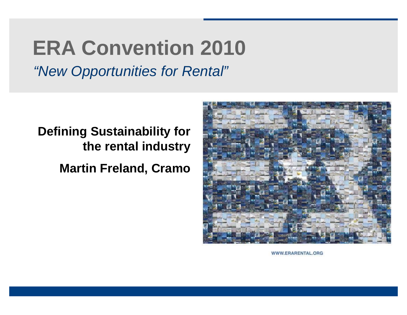# **ERA Convention 2010**

*"New Opportunities for Rental"*

### **Defining Sustainability for the rental industry**

**Martin Freland, Cramo**



WWW.ERARENTAL.ORG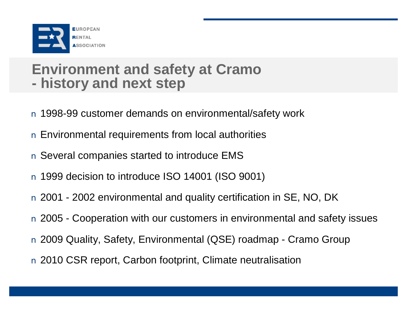

### **Environment and safety at Cramo - history and next step**

- n 1998-99 customer demands on environmental/safety work
- n Environmental requirements from local authorities
- n Several companies started to introduce EMS
- n 1999 decision to introduce ISO 14001 (ISO 9001)
- n 2001 2002 environmental and quality certification in SE, NO, DK
- n 2005 Cooperation with our customers in environmental and safety issues
- n 2009 Quality, Safety, Environmental (QSE) roadmap Cramo Group
- n 2010 CSR report, Carbon footprint, Climate neutralisation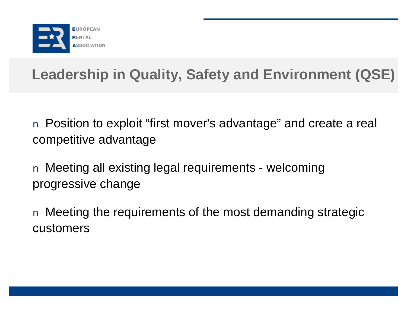

# **Leadership in Quality, Safety and Environment (QSE)**

n Position to exploit "first mover's advantage" and create a real competitive advantage

n Meeting all existing legal requirements - welcoming progressive change

n Meeting the requirements of the most demanding strategic customers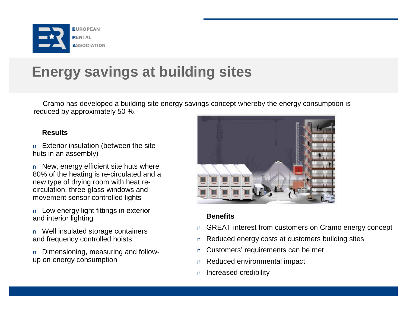

# **Energy savings at building sites**

Cramo has developed a building site energy savings concept whereby the energy consumption is reduced by approximately 50 %.

#### **Results**

n Exterior insulation (between the site huts in an assembly)

n New, energy efficient site huts where 80% of the heating is re-circulated and a new type of drying room with heat recirculation, three-glass windows and movement sensor controlled lights

n Low energy light fittings in exterior and interior lighting

n Well insulated storage containers and frequency controlled hoists

n Dimensioning, measuring and followup on energy consumption



- n GREAT interest from customers on Cramo energy concept
- n Reduced energy costs at customers building sites
- n Customers' requirements can be met
- n Reduced environmental impact
- n Increased credibility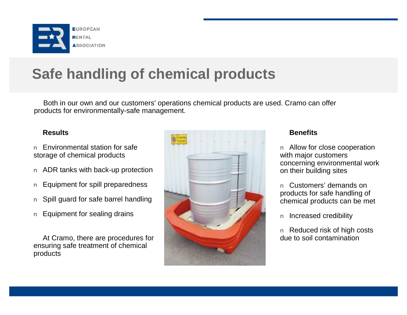

# **Safe handling of chemical products**

Both in our own and our customers' operations chemical products are used. Cramo can offer products for environmentally-safe management.

#### **Results**

- n Environmental station for safe storage of chemical products
- n ADR tanks with back-up protection
- n Equipment for spill preparedness
- n Spill guard for safe barrel handling
- n Equipment for sealing drains

At Cramo, there are procedures for ensuring safe treatment of chemical products



### **Benefits**

n Allow for close cooperation with major customers concerning environmental work on their building sites

n Customers' demands on products for safe handling of chemical products can be met

n Increased credibility

n Reduced risk of high costs due to soil contamination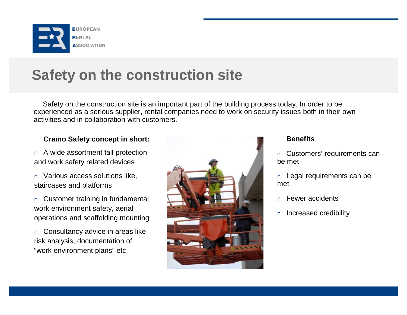

### **Safety on the construction site**

Safety on the construction site is an important part of the building process today. In order to be experienced as a serious supplier, rental companies need to work on security issues both in their own activities and in collaboration with customers.

### **Cramo Safety concept in short:**

n A wide assortment fall protection and work safety related devices

n Various access solutions like, staircases and platforms

n Customer training in fundamental work environment safety, aerial operations and scaffolding mounting

n Consultancy advice in areas like risk analysis, documentation of "work environment plans" etc



- n Customers' requirements can be met
- n Legal requirements can be met
- n Fewer accidents
- n Increased credibility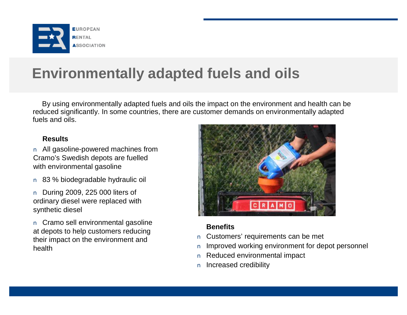

### **Environmentally adapted fuels and oils**

By using environmentally adapted fuels and oils the impact on the environment and health can be reduced significantly. In some countries, there are customer demands on environmentally adapted fuels and oils.

### **Results**

n All gasoline-powered machines from Cramo's Swedish depots are fuelled with environmental gasoline

- n 83 % biodegradable hydraulic oil
- n During 2009, 225 000 liters of ordinary diesel were replaced with synthetic diesel

n Cramo sell environmental gasoline at depots to help customers reducing their impact on the environment and health



- n Customers' requirements can be met
- n Improved working environment for depot personnel
- n Reduced environmental impact
- n Increased credibility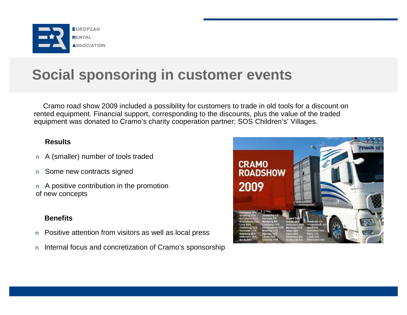

# **Social sponsoring in customer events**

Cramo road show 2009 included a possibility for customers to trade in old tools for a discount on rented equipment. Financial support, corresponding to the discounts, plus the value of the traded equipment was donated to Cramo's charity cooperation partner; SOS Children's' Villages.

#### **Results**

- n A (smaller) number of tools traded
- n Some new contracts signed
- n A positive contribution in the promotion of new concepts

- n Positive attention from visitors as well as local press
- n Internal focus and concretization of Cramo's sponsorship

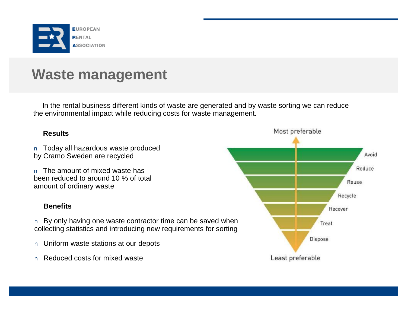

### **Waste management**

In the rental business different kinds of waste are generated and by waste sorting we can reduce the environmental impact while reducing costs for waste management.

#### **Results**

n Today all hazardous waste produced by Cramo Sweden are recycled

n The amount of mixed waste has been reduced to around 10 % of total amount of ordinary waste

#### **Benefits**

n By only having one waste contractor time can be saved when collecting statistics and introducing new requirements for sorting

- n Uniform waste stations at our depots
- n Reduced costs for mixed waste